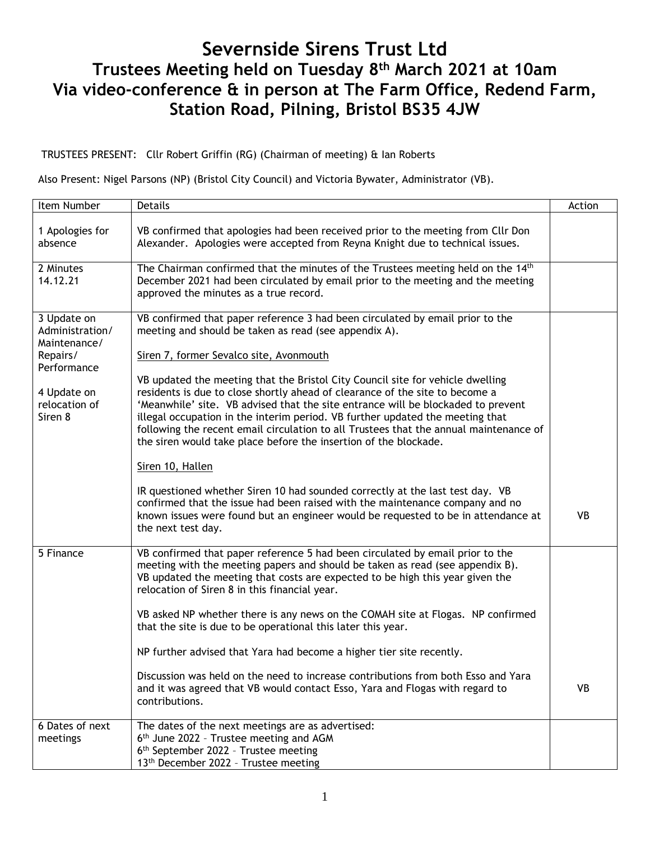# **Severnside Sirens Trust Ltd Trustees Meeting held on Tuesday 8 th March 2021 at 10am Via video-conference & in person at The Farm Office, Redend Farm, Station Road, Pilning, Bristol BS35 4JW**

TRUSTEES PRESENT: Cllr Robert Griffin (RG) (Chairman of meeting) & Ian Roberts

Also Present: Nigel Parsons (NP) (Bristol City Council) and Victoria Bywater, Administrator (VB).

| Item Number                                                                                                          | Details                                                                                                                                                                                                                                                                                                                                                                                                                                                                                                                                                                                                                                                                                                                                                                                                                                                                                                                                                                               | Action    |  |  |  |  |
|----------------------------------------------------------------------------------------------------------------------|---------------------------------------------------------------------------------------------------------------------------------------------------------------------------------------------------------------------------------------------------------------------------------------------------------------------------------------------------------------------------------------------------------------------------------------------------------------------------------------------------------------------------------------------------------------------------------------------------------------------------------------------------------------------------------------------------------------------------------------------------------------------------------------------------------------------------------------------------------------------------------------------------------------------------------------------------------------------------------------|-----------|--|--|--|--|
| 1 Apologies for<br>absence                                                                                           | VB confirmed that apologies had been received prior to the meeting from Cllr Don<br>Alexander. Apologies were accepted from Reyna Knight due to technical issues.                                                                                                                                                                                                                                                                                                                                                                                                                                                                                                                                                                                                                                                                                                                                                                                                                     |           |  |  |  |  |
| 2 Minutes<br>14.12.21                                                                                                | The Chairman confirmed that the minutes of the Trustees meeting held on the 14th<br>December 2021 had been circulated by email prior to the meeting and the meeting<br>approved the minutes as a true record.                                                                                                                                                                                                                                                                                                                                                                                                                                                                                                                                                                                                                                                                                                                                                                         |           |  |  |  |  |
| 3 Update on<br>Administration/<br>Maintenance/<br>Repairs/<br>Performance<br>4 Update on<br>relocation of<br>Siren 8 | VB confirmed that paper reference 3 had been circulated by email prior to the<br>meeting and should be taken as read (see appendix A).<br>Siren 7, former Sevalco site, Avonmouth<br>VB updated the meeting that the Bristol City Council site for vehicle dwelling<br>residents is due to close shortly ahead of clearance of the site to become a<br>'Meanwhile' site. VB advised that the site entrance will be blockaded to prevent<br>illegal occupation in the interim period. VB further updated the meeting that<br>following the recent email circulation to all Trustees that the annual maintenance of<br>the siren would take place before the insertion of the blockade.<br>Siren 10, Hallen<br>IR questioned whether Siren 10 had sounded correctly at the last test day. VB<br>confirmed that the issue had been raised with the maintenance company and no<br>known issues were found but an engineer would be requested to be in attendance at<br>the next test day. | <b>VB</b> |  |  |  |  |
| 5 Finance                                                                                                            | VB confirmed that paper reference 5 had been circulated by email prior to the<br>meeting with the meeting papers and should be taken as read (see appendix B).<br>VB updated the meeting that costs are expected to be high this year given the<br>relocation of Siren 8 in this financial year.<br>VB asked NP whether there is any news on the COMAH site at Flogas. NP confirmed<br>that the site is due to be operational this later this year.<br>NP further advised that Yara had become a higher tier site recently.<br>Discussion was held on the need to increase contributions from both Esso and Yara<br>and it was agreed that VB would contact Esso, Yara and Flogas with regard to<br>contributions.                                                                                                                                                                                                                                                                    | <b>VB</b> |  |  |  |  |
| 6 Dates of next<br>meetings                                                                                          | The dates of the next meetings are as advertised:<br>6 <sup>th</sup> June 2022 - Trustee meeting and AGM<br>6 <sup>th</sup> September 2022 - Trustee meeting<br>13 <sup>th</sup> December 2022 - Trustee meeting                                                                                                                                                                                                                                                                                                                                                                                                                                                                                                                                                                                                                                                                                                                                                                      |           |  |  |  |  |